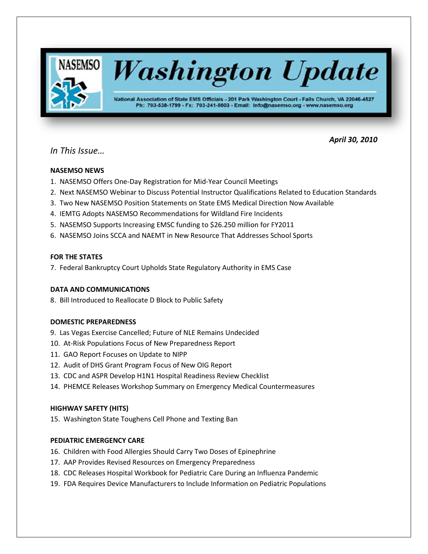

*In This Issue…*

 *April 30, 2010*

# **NASEMSO NEWS**

- 1. NASEMSO Offers One-Day Registration for Mid-Year Council Meetings
- 2. Next NASEMSO Webinar to Discuss Potential Instructor Qualifications Related to Education Standards
- 3. Two New NASEMSO Position Statements on State EMS Medical Direction Now Available
- 4. IEMTG Adopts NASEMSO Recommendations for Wildland Fire Incidents
- 5. NASEMSO Supports Increasing EMSC funding to \$26.250 million for FY2011
- 6. NASEMSO Joins SCCA and NAEMT in New Resource That Addresses School Sports

# **FOR THE STATES**

7. Federal Bankruptcy Court Upholds State Regulatory Authority in EMS Case

# **DATA AND COMMUNICATIONS**

8. Bill Introduced to Reallocate D Block to Public Safety

# **DOMESTIC PREPAREDNESS**

- 9. Las Vegas Exercise Cancelled; Future of NLE Remains Undecided
- 10. At-Risk Populations Focus of New Preparedness Report
- 11. GAO Report Focuses on Update to NIPP
- 12. Audit of DHS Grant Program Focus of New OIG Report
- 13. CDC and ASPR Develop H1N1 Hospital Readiness Review Checklist
- 14. PHEMCE Releases Workshop Summary on Emergency Medical Countermeasures

# **HIGHWAY SAFETY (HITS)**

15. Washington State Toughens Cell Phone and Texting Ban

# **PEDIATRIC EMERGENCY CARE**

- 16. Children with Food Allergies Should Carry Two Doses of Epinephrine
- 17. AAP Provides Revised Resources on Emergency Preparedness
- 18. CDC Releases Hospital Workbook for Pediatric Care During an Influenza Pandemic
- 19. FDA Requires Device Manufacturers to Include Information on Pediatric Populations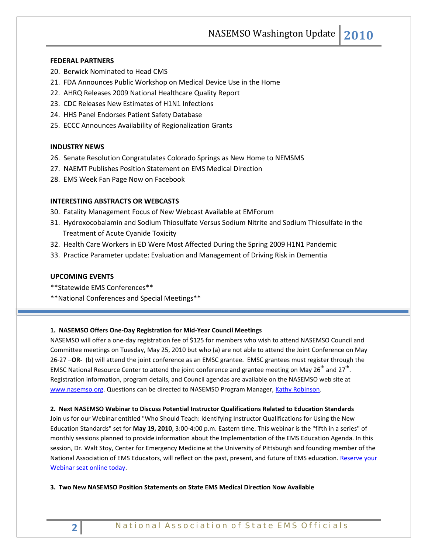NASEMSO Washington Update **2010**

## **FEDERAL PARTNERS**

- 20. Berwick Nominated to Head CMS
- 21. FDA Announces Public Workshop on Medical Device Use in the Home
- 22. AHRQ Releases 2009 National Healthcare Quality Report
- 23. CDC Releases New Estimates of H1N1 Infections
- 24. HHS Panel Endorses Patient Safety Database
- 25. ECCC Announces Availability of Regionalization Grants

## **INDUSTRY NEWS**

- 26. Senate Resolution Congratulates Colorado Springs as New Home to NEMSMS
- 27. NAEMT Publishes Position Statement on EMS Medical Direction
- 28. EMS Week Fan Page Now on Facebook

## **INTERESTING ABSTRACTS OR WEBCASTS**

- 30. Fatality Management Focus of New Webcast Available at EMForum
- 31. Hydroxocobalamin and Sodium Thiosulfate Versus Sodium Nitrite and Sodium Thiosulfate in the Treatment of Acute Cyanide Toxicity
- 32. Health Care Workers in ED Were Most Affected During the Spring 2009 H1N1 Pandemic
- 33. Practice Parameter update: Evaluation and Management of Driving Risk in Dementia

## **UPCOMING EVENTS**

- \*\*Statewide EMS Conferences\*\*
- \*\*National Conferences and Special Meetings\*\*

#### **1. NASEMSO Offers One-Day Registration for Mid-Year Council Meetings**

NASEMSO will offer a one-day registration fee of \$125 for members who wish to attend NASEMSO Council and Committee meetings on Tuesday, May 25, 2010 but who (a) are not able to attend the Joint Conference on May 26-27 –**OR-** (b) will attend the joint conference as an EMSC grantee. EMSC grantees must register through the EMSC National Resource Center to attend the joint conference and grantee meeting on May 26<sup>th</sup> and 27<sup>th</sup>. Registration information, program details, and Council agendas are available on the NASEMSO web site at [www.nasemso.org.](http://www.nasemso.org/) Questions can be directed to NASEMSO Program Manager, [Kathy Robinson.](mailto:robinson@nasemso.org)

#### **2. Next NASEMSO Webinar to Discuss Potential Instructor Qualifications Related to Education Standards**

Join us for our Webinar entitled "Who Should Teach: Identifying Instructor Qualifications for Using the New Education Standards" set for **May 19, 2010**, 3:00-4:00 p.m. Eastern time. This webinar is the "fifth in a series" of monthly sessions planned to provide information about the Implementation of the EMS Education Agenda. In this session, Dr. Walt Stoy, Center for Emergency Medicine at the University of Pittsburgh and founding member of the National Association of EMS Educators, will reflect on the past, present, and future of EMS education. Reserve your [Webinar seat online today.](https://www2.gotomeeting.com/register/330914018)

**3. Two New NASEMSO Position Statements on State EMS Medical Direction Now Available**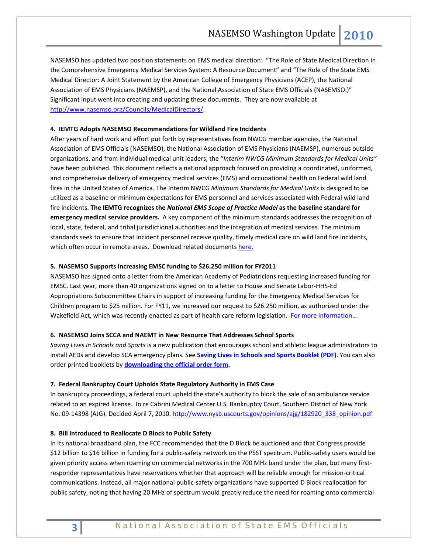NASEMSO has updated two position statements on EMS medical direction: "The Role of State Medical Direction in the Comprehensive Emergency Medical Services System: A Resource Document" and "The Role of the State EMS Medical Director: A Joint Statement by the American College of Emergency Physicians (ACEP), the National Association of EMS Physicians (NAEMSP), and the National Association of State EMS Officials (NASEMSO.)" Significant input went into creating and updating these documents. They are now available at [http://www.nasemso.org/Councils/MedicalDirectors/.](http://www.nasemso.org/Councils/MedicalDirectors/)

## **4. IEMTG Adopts NASEMSO Recommendations for Wildland Fire Incidents**

After years of hard work and effort put forth by representatives from NWCG member agencies, the National Association of EMS Officials (NASEMSO), the National Association of EMS Physicians (NAEMSP), numerous outside organizations, and from individual medical unit leaders, the "*Interim NWCG Minimum Standards for Medical Units"*  have been published*.* This document reflects a national approach focused on providing a coordinated, uniformed, and comprehensive delivery of emergency medical services (EMS) and occupational health on Federal wild land fires in the United States of America. The Interim NWCG *Minimum Standards for Medical Units* is designed to be utilized as a baseline or minimum expectations for EMS personnel and services associated with Federal wild land fire incidents. **The IEMTG recognizes the** *National EMS Scope of Practice Model* **as the baseline standard for emergency medical service providers.** A key component of the minimum standards addresses the recognition of local, state, federal, and tribal jurisdictional authorities and the integration of medical services. The minimum standards seek to ensure that incident personnel receive quality, timely medical care on wild land fire incidents, which often occur in remote areas. Download related documents [here.](http://www.nwcg.gov/branches/pre/rmc/iemtg/policy-guides.html)

## **5. NASEMSO Supports Increasing EMSC funding to \$26.250 million for FY2011**

NASEMSO has signed onto a letter from the American Academy of Pediatricians requesting increased funding for EMSC. Last year, more than 40 organizations signed on to a letter to House and Senate Labor-HHS-Ed Appropriations Subcommittee Chairs in support of increasing funding for the Emergency Medical Services for Children program to \$25 million. For FY11, we increased our request to \$26.250 million, as authorized under the Wakefield Act, which was recently enacted as part of health care reform legislation. For more information...

#### **6. NASEMSO Joins SCCA and NAEMT in New Resource That Addresses School Sports**

*Saving Lives in Schools and Sports* is a new publication that encourages school and athletic league administrators to install AEDs and develop SCA emergency plans. See **[Saving Lives in Schools and Sports Booklet \(PDF\)](http://209.235.212.198/content/publications/scaa_saving_lives.pdf)**. You can also order printed booklets by **[downloading the official order form.](http://209.235.212.198/content/documents/slisas_order_form.pdf)**

#### **7. Federal Bankruptcy Court Upholds State Regulatory Authority in EMS Case**

In bankruptcy proceedings, a federal court upheld the state's authority to block the sale of an ambulance service related to an expired license. In re Cabrini Medical Center U.S. Bankruptcy Court, Southern District of New York No. 09-14398 (AJG). Decided April 7, 2010. [http://www.nysb.uscourts.gov/opinions/ajg/182920\\_338\\_opinion.pdf](http://www.nysb.uscourts.gov/opinions/ajg/182920_338_opinion.pdf) 

## **8. Bill Introduced to Reallocate D Block to Public Safety**

In its national broadband plan, the FCC recommended that the D Block be auctioned and that Congress provide \$12 billion to \$16 billion in funding for a public-safety network on the PSST spectrum. Public-safety users would be given priority access when roaming on commercial networks in the 700 MHz band under the plan, but many firstresponder representatives have reservations whether that approach will be reliable enough for mission-critical communications. Instead, all major national public-safety organizations have supported D Block reallocation for public safety, noting that having 20 MHz of spectrum would greatly reduce the need for roaming onto commercial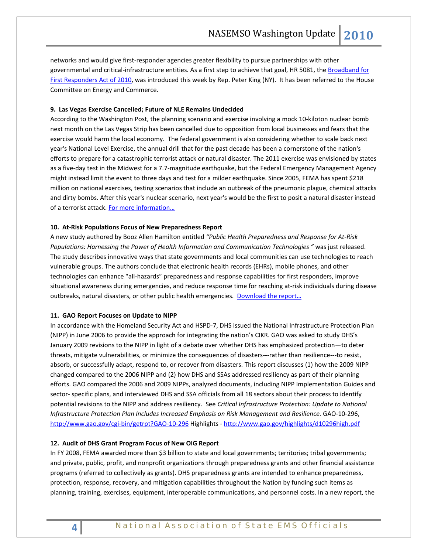networks and would give first-responder agencies greater flexibility to pursue partnerships with other governmental and critical-infrastructure entities. As a first step to achieve that goal, HR 5081, th[e Broadband for](http://thomas.loc.gov/cgi-bin/query/z?c111:H.R.5081:)  [First Responders Act of 2010,](http://thomas.loc.gov/cgi-bin/query/z?c111:H.R.5081:) was introduced this week by Rep. Peter King (NY). It has been referred to the House Committee on Energy and Commerce.

## **9. Las Vegas Exercise Cancelled; Future of NLE Remains Undecided**

According to the Washington Post, the planning scenario and exercise involving a mock 10-kiloton nuclear bomb next month on the Las Vegas Strip has been cancelled due to opposition from local businesses and fears that the exercise would harm the local economy. The federal government is also considering whether to scale back next year's National Level Exercise, the annual drill that for the past decade has been a cornerstone of the nation's efforts to prepare for a catastrophic terrorist attack or natural disaster. The 2011 exercise was envisioned by states as a five-day test in the Midwest for a 7.7-magnitude earthquake, but the Federal Emergency Management Agency might instead limit the event to three days and test for a milder earthquake. Since 2005, FEMA has spent \$218 million on national exercises, testing scenarios that include an outbreak of the pneumonic plague, chemical attacks and dirty bombs. After this year's nuclear scenario, next year's would be the first to posit a natural disaster instead of a terrorist attack. For more information...

## **10. At-Risk Populations Focus of New Preparedness Report**

A new study authored by Booz Allen Hamilton entitled *"Public Health Preparedness and Response for At-Risk Populations: Harnessing the Power of Health Information and Communication Technologies "* was just released. The study describes innovative ways that state governments and local communities can use technologies to reach vulnerable groups. The authors conclude that electronic health records (EHRs), mobile phones, and other technologies can enhance "all-hazards" preparedness and response capabilities for first responders, improve situational awareness during emergencies, and reduce response time for reaching at-risk individuals during disease outbreaks, natural disasters, or other public health emergencies. Download the report...

#### **11. GAO Report Focuses on Update to NIPP**

In accordance with the Homeland Security Act and HSPD-7, DHS issued the National Infrastructure Protection Plan (NIPP) in June 2006 to provide the approach for integrating the nation's CIKR. GAO was asked to study DHS's January 2009 revisions to the NIPP in light of a debate over whether DHS has emphasized protection—to deter threats, mitigate vulnerabilities, or minimize the consequences of disasters---rather than resilience---to resist, absorb, or successfully adapt, respond to, or recover from disasters. This report discusses (1) how the 2009 NIPP changed compared to the 2006 NIPP and (2) how DHS and SSAs addressed resiliency as part of their planning efforts. GAO compared the 2006 and 2009 NIPPs, analyzed documents, including NIPP Implementation Guides and sector- specific plans, and interviewed DHS and SSA officials from all 18 sectors about their process to identify potential revisions to the NIPP and address resiliency. See *Critical Infrastructure Protection: Update to National Infrastructure Protection Plan Includes Increased Emphasis on Risk Management and Resilience.* GAO-10-296, <http://www.gao.gov/cgi-bin/getrpt?GAO-10-296> Highlights - <http://www.gao.gov/highlights/d10296high.pdf>

## **12. Audit of DHS Grant Program Focus of New OIG Report**

In FY 2008, FEMA awarded more than \$3 billion to state and local governments; territories; tribal governments; and private, public, profit, and nonprofit organizations through preparedness grants and other financial assistance programs (referred to collectively as grants). DHS preparedness grants are intended to enhance preparedness, protection, response, recovery, and mitigation capabilities throughout the Nation by funding such items as planning, training, exercises, equipment, interoperable communications, and personnel costs. In a new report, the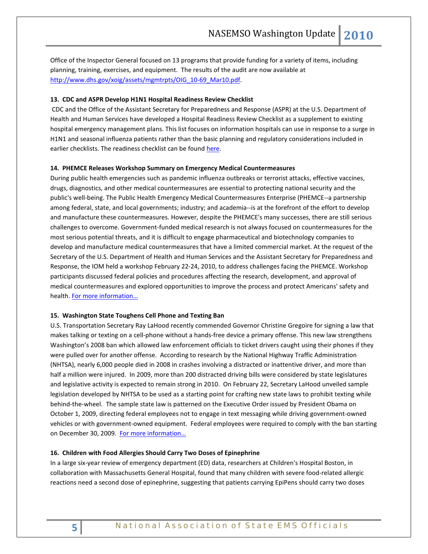Office of the Inspector General focused on 13 programs that provide funding for a variety of items, including planning, training, exercises, and equipment. The results of the audit are now available at [http://www.dhs.gov/xoig/assets/mgmtrpts/OIG\\_10-69\\_Mar10.pdf.](http://www.dhs.gov/xoig/assets/mgmtrpts/OIG_10-69_Mar10.pdf)

## **13. CDC and ASPR Develop H1N1 Hospital Readiness Review Checklist**

CDC and the Office of the Assistant Secretary for Preparedness and Response (ASPR) at the U.S. Department of Health and Human Services have developed a Hospital Readiness Review Checklist as a supplement to existing hospital emergency management plans. This list focuses on information hospitals can use in response to a surge in H1N1 and seasonal influenza patients rather than the basic planning and regulatory considerations included in earlier checklists. The readiness checklist can be foun[d here.](http://emergency.cdc.gov/healthcare/pdf/hospital_2009h1n1_checklist.pdf)

#### **14. PHEMCE Releases Workshop Summary on Emergency Medical Countermeasures**

During public health emergencies such as pandemic influenza outbreaks or terrorist attacks, effective vaccines, drugs, diagnostics, and other medical countermeasures are essential to protecting national security and the public's well-being. The Public Health Emergency Medical Countermeasures Enterprise (PHEMCE--a partnership among federal, state, and local governments; industry; and academia--is at the forefront of the effort to develop and manufacture these countermeasures. However, despite the PHEMCE's many successes, there are still serious challenges to overcome. Government-funded medical research is not always focused on countermeasures for the most serious potential threats, and it is difficult to engage pharmaceutical and biotechnology companies to develop and manufacture medical countermeasures that have a limited commercial market. At the request of the Secretary of the U.S. Department of Health and Human Services and the Assistant Secretary for Preparedness and Response, the IOM held a workshop February 22-24, 2010, to address challenges facing the PHEMCE. Workshop participants discussed federal policies and procedures affecting the research, development, and approval of medical countermeasures and explored opportunities to improve the process and protect Americans' safety and health. [For more information…](http://www.nap.edu/catalog.php?record_id=12856#description)

## **15. Washington State Toughens Cell Phone and Texting Ban**

U.S. Transportation Secretary Ray LaHood recently commended Governor Christine Gregoire for signing a law that makes talking or texting on a cell-phone without a hands-free device a primary offense. This new law strengthens Washington's 2008 ban which allowed law enforcement officials to ticket drivers caught using their phones if they were pulled over for another offense. According to research by the National Highway Traffic Administration (NHTSA), nearly 6,000 people died in 2008 in crashes involving a distracted or inattentive driver, and more than half a million were injured. In 2009, more than 200 distracted driving bills were considered by state legislatures and legislative activity is expected to remain strong in 2010. On February 22, Secretary LaHood unveiled sample legislation developed by NHTSA to be used as a starting point for crafting new state laws to prohibit texting while behind-the-wheel. The sample state law is patterned on the Executive Order issued by President Obama on October 1, 2009, directing federal employees not to engage in text messaging while driving government-owned vehicles or with government-owned equipment. Federal employees were required to comply with the ban starting on December 30, 2009. [For more information…](http://www.distraction.gov/)

#### **16. Children with Food Allergies Should Carry Two Doses of Epinephrine**

In a large six-year review of emergency department (ED) data, researchers at Children's Hospital Boston, in collaboration with Massachusetts General Hospital, found that many children with severe food-related allergic reactions need a second dose of epinephrine, suggesting that patients carrying EpiPens should carry two doses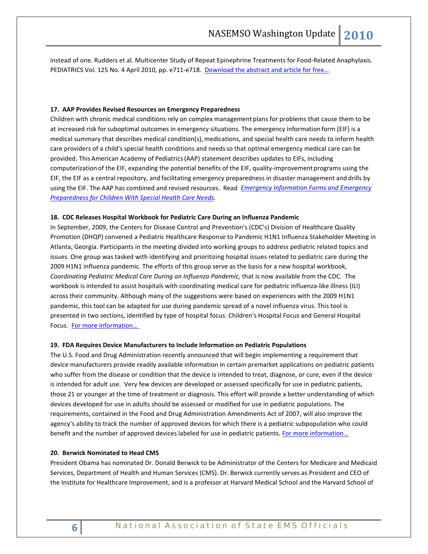instead of one. Rudders et al. Multicenter Study of Repeat Epinephrine Treatments for Food-Related Anaphylaxis. PEDIATRICS Vol. 125 No. 4 April 2010, pp. e711-e718. [Download the abstract and article for free…](http://pediatrics.aappublications.org/cgi/content/abstract/125/4/e711)

#### **17. AAP Provides Revised Resources on Emergency Preparedness**

Children with chronic medical conditions rely on complex management plans for problems that cause them to be at increased risk forsuboptimal outcomes in emergency situations. The emergency information form (EIF) is a medical summary that describes medical condition(s), medications, and special health care needs to inform health care providers of a child's special health conditions and needsso that optimal emergency medical care can be provided. ThisAmerican Academy of Pediatrics(AAP) statement describes updates to EIFs, including computerization of the EIF, expanding the potential benefits of the EIF, quality-improvement programs using the EIF, the EIF as a central repository, and facilitating emergency preparedness in disaster management and drills by using the EIF. The AAP has combined and revised resources. Read *[Emergency Information Forms and Emergency](http://pediatrics.aappublications.org/cgi/content/full/125/4/829)  [Preparedness for Children With Special Health Care Needs.](http://pediatrics.aappublications.org/cgi/content/full/125/4/829)*

#### **18. CDC Releases Hospital Workbook for Pediatric Care During an Influenza Pandemic**

In September, 2009, the Centers for Disease Control and Prevention's (CDC's) Division of Healthcare Quality Promotion (DHQP) convened a Pediatric Healthcare Response to Pandemic H1N1 Influenza Stakeholder Meeting in Atlanta, Georgia. Participants in the meeting divided into working groups to address pediatric related topics and issues. One group was tasked with identifying and prioritizing hospital issues related to pediatric care during the 2009 H1N1 influenza pandemic. The efforts of this group serve as the basis for a new hospital workbook, *Coordinating Pediatric Medical Care During an Influenza Pandemic,* that is now available from the CDC. The workbook is intended to assist hospitals with coordinating medical care for pediatric influenza-like illness (ILI) across their community. Although many of the suggestions were based on experiences with the 2009 H1N1 pandemic, this tool can be adapted for use during pandemic spread of a novel influenza virus. This tool is presented in two sections, identified by type of hospital focus: Children's Hospital Focus and General Hospital Focus. For more information...

## **19. FDA Requires Device Manufacturers to Include Information on Pediatric Populations**

The U.S. Food and Drug Administration recently announced that will begin implementing a requirement that device manufacturers provide readily available information in certain premarket applications on pediatric patients who suffer from the disease or condition that the device is intended to treat, diagnose, or cure, even if the device is intended for adult use. Very few devices are developed or assessed specifically for use in pediatric patients, those 21 or younger at the time of treatment or diagnosis. This effort will provide a better understanding of which devices developed for use in adults should be assessed or modified for use in pediatric populations. The requirements, contained in the Food and Drug Administration Amendments Act of 2007, will also improve the agency's ability to track the number of approved devices for which there is a pediatric subpopulation who could benefit and the number of approved devices labeled for use in pediatric patients. For more information...

#### **20. Berwick Nominated to Head CMS**

President Obama has nominated Dr. Donald Berwick to be Administrator of the Centers for Medicare and Medicaid Services, Department of Health and Human Services (CMS). Dr. Berwick currently serves as President and CEO of the Institute for Healthcare Improvement, and is a professor at Harvard Medical School and the Harvard School of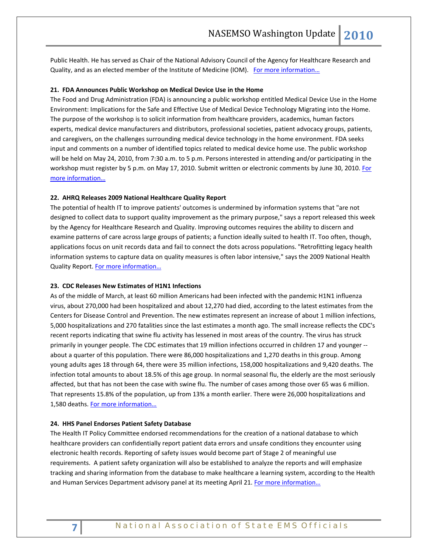Public Health. He has served as Chair of the National Advisory Council of the Agency for Healthcare Research and Quality, and as an elected member of the Institute of Medicine (IOM). [For more information…](http://www.whitehouse.gov/the-press-office/president-obama-nominates-dr-donald-berwick-administrator-centers-medicare-and-medi)

## **21. FDA Announces Public Workshop on Medical Device Use in the Home**

The Food and Drug Administration (FDA) is announcing a public workshop entitled Medical Device Use in the Home Environment: Implications for the Safe and Effective Use of Medical Device Technology Migrating into the Home. The purpose of the workshop is to solicit information from healthcare providers, academics, human factors experts, medical device manufacturers and distributors, professional societies, patient advocacy groups, patients, and caregivers, on the challenges surrounding medical device technology in the home environment. FDA seeks input and comments on a number of identified topics related to medical device home use. The public workshop will be held on May 24, 2010, from 7:30 a.m. to 5 p.m. Persons interested in attending and/or participating in the workshop must register by 5 p.m. on May 17, 2010. Submit written or electronic comments by June 30, 2010. For [more information…](http://edocket.access.gpo.gov/2010/pdf/2010-9035.pdf)

#### **22. AHRQ Releases 2009 National Healthcare Quality Report**

The potential of health IT to improve patients' outcomes is undermined by information systems that "are not designed to collect data to support quality improvement as the primary purpose," says a report released this week by the Agency for Healthcare Research and Quality. Improving outcomes requires the ability to discern and examine patterns of care across large groups of patients; a function ideally suited to health IT. Too often, though, applications focus on unit records data and fail to connect the dots across populations. "Retrofitting legacy health information systems to capture data on quality measures is often labor intensive," says the 2009 National Health Quality Report. For more information...

#### **23. CDC Releases New Estimates of H1N1 Infections**

As of the middle of March, at least 60 million Americans had been infected with the pandemic H1N1 influenza virus, about 270,000 had been hospitalized and about 12,270 had died, according to the latest estimates from the Centers for Disease Control and Prevention. The new estimates represent an increase of about 1 million infections, 5,000 hospitalizations and 270 fatalities since the last estimates a month ago. The small increase reflects the CDC's recent reports indicating that swine flu activity has lessened in most areas of the country. The virus has struck primarily in younger people. The CDC estimates that 19 million infections occurred in children 17 and younger - about a quarter of this population. There were 86,000 hospitalizations and 1,270 deaths in this group. Among young adults ages 18 through 64, there were 35 million infections, 158,000 hospitalizations and 9,420 deaths. The infection total amounts to about 18.5% of this age group. In normal seasonal flu, the elderly are the most seriously affected, but that has not been the case with swine flu. The number of cases among those over 65 was 6 million. That represents 15.8% of the population, up from 13% a month earlier. There were 26,000 hospitalizations and 1,580 deaths. For more information...

## **24. HHS Panel Endorses Patient Safety Database**

The Health IT Policy Committee endorsed recommendations for the creation of a national database to which healthcare providers can confidentially report patient data errors and unsafe conditions they encounter using electronic health records. Reporting of safety issues would become part of Stage 2 of meaningful use requirements. A patient safety organization will also be established to analyze the reports and will emphasize tracking and sharing information from the database to make healthcare a learning system, according to the Health and Human Services Department advisory panel at its meeting April 21. For more information...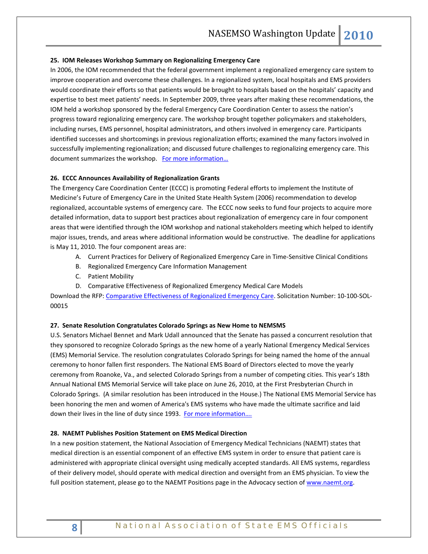#### **25. IOM Releases Workshop Summary on Regionalizing Emergency Care**

In 2006, the IOM recommended that the federal government implement a regionalized emergency care system to improve cooperation and overcome these challenges. In a regionalized system, local hospitals and EMS providers would coordinate their efforts so that patients would be brought to hospitals based on the hospitals' capacity and expertise to best meet patients' needs. In September 2009, three years after making these recommendations, the IOM held a workshop sponsored by the federal Emergency Care Coordination Center to assess the nation's progress toward regionalizing emergency care. The workshop brought together policymakers and stakeholders, including nurses, EMS personnel, hospital administrators, and others involved in emergency care. Participants identified successes and shortcomings in previous regionalization efforts; examined the many factors involved in successfully implementing regionalization; and discussed future challenges to regionalizing emergency care. This document summarizes the workshop. For more information...

## **26. ECCC Announces Availability of Regionalization Grants**

The Emergency Care Coordination Center (ECCC) is promoting Federal efforts to implement the Institute of Medicine's Future of Emergency Care in the United State Health System (2006) recommendation to develop regionalized, accountable systems of emergency care. The ECCC now seeks to fund four projects to acquire more detailed information, data to support best practices about regionalization of emergency care in four component areas that were identified through the IOM workshop and national stakeholders meeting which helped to identify major issues, trends, and areas where additional information would be constructive. The deadline for applications is May 11, 2010. The four component areas are:

- A. Current Practices for Delivery of Regionalized Emergency Care in Time-Sensitive Clinical Conditions
- B. Regionalized Emergency Care Information Management
- C. Patient Mobility
- D. Comparative Effectiveness of Regionalized Emergency Medical Care Models

Download the RFP: [Comparative Effectiveness of Regionalized Emergency Care.](https://www.fbo.gov/download/797/7977e4402ce03adc88c86428fec5d930/Request_for_Proposals_No._10-100-SOL-00015.pdf) Solicitation Number: 10-100-SOL-00015

#### **27. Senate Resolution Congratulates Colorado Springs as New Home to NEMSMS**

U.S. Senators Michael Bennet and Mark Udall announced that the Senate has passed a concurrent resolution that they sponsored to recognize Colorado Springs as the new home of a yearly National Emergency Medical Services (EMS) Memorial Service. The resolution congratulates Colorado Springs for being named the home of the annual ceremony to honor fallen first responders. The National EMS Board of Directors elected to move the yearly ceremony from Roanoke, Va., and selected Colorado Springs from a number of competing cities. This year's 18th Annual National EMS Memorial Service will take place on June 26, 2010, at the First Presbyterian Church in Colorado Springs. (A similar resolution has been introduced in the House.) The National EMS Memorial Service has been honoring the men and women of America's EMS systems who have made the ultimate sacrifice and laid down their lives in the line of duty since 1993. [For more information….](http://colorado.realestaterama.com/2010/03/16/bennet-udall-pass-measure-recognizing-colorado-springs-as-the-new-home-to-national-ems-memorial-service-ID0119.html)

#### **28. NAEMT Publishes Position Statement on EMS Medical Direction**

In a new position statement, the National Association of Emergency Medical Technicians (NAEMT) states that medical direction is an essential component of an effective EMS system in order to ensure that patient care is administered with appropriate clinical oversight using medically accepted standards. All EMS systems, regardless of their delivery model, should operate with medical direction and oversight from an EMS physician. To view the full position statement, please go to the NAEMT Positions page in the Advocacy section of [www.naemt.org.](http://www.naemt.org/)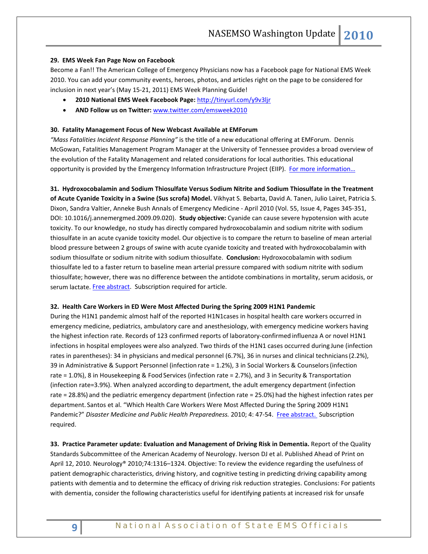## **29. EMS Week Fan Page Now on Facebook**

Become a Fan!! The American College of Emergency Physicians now has a Facebook page for National EMS Week 2010. You can add your community events, heroes, photos, and articles right on the page to be considered for inclusion in next year's (May 15-21, 2011) EMS Week Planning Guide!

- **2010 National EMS Week Facebook Page:** <http://tinyurl.com/y9v3ljr>
- **AND Follow us on Twitter:** [www.twitter.com/emsweek2010](http://www.twitter.com/emsweek2010)

## **30. Fatality Management Focus of New Webcast Available at EMForum**

*"Mass Fatalities Incident Response Planning"* is the title of a new educational offering at EMForum. Dennis McGowan, Fatalities Management Program Manager at the University of Tennessee provides a broad overview of the evolution of the Fatality Management and related considerations for local authorities. This educational opportunity is provided by the Emergency Information Infrastructure Project (EIIP). For more information...

**31. Hydroxocobalamin and Sodium Thiosulfate Versus Sodium Nitrite and Sodium Thiosulfate in the Treatment of Acute Cyanide Toxicity in a Swine (Sus scrofa) Model.** Vikhyat S. Bebarta, David A. Tanen, Julio Lairet, Patricia S. Dixon, Sandra Valtier, Anneke Bush Annals of Emergency Medicine - April 2010 (Vol. 55, Issue 4, Pages 345-351, DOI: 10.1016/j.annemergmed.2009.09.020). **Study objective:** Cyanide can cause severe hypotension with acute toxicity. To our knowledge, no study has directly compared hydroxocobalamin and sodium nitrite with sodium thiosulfate in an acute cyanide toxicity model. Our objective is to compare the return to baseline of mean arterial blood pressure between 2 groups of swine with acute cyanide toxicity and treated with hydroxocobalamin with sodium thiosulfate or sodium nitrite with sodium thiosulfate. **Conclusion:** Hydroxocobalamin with sodium thiosulfate led to a faster return to baseline mean arterial pressure compared with sodium nitrite with sodium thiosulfate; however, there was no difference between the antidote combinations in mortality, serum acidosis, or serum lactate[. Free abstract.](http://www.annemergmed.com/article/S0196-0644(09)01558-3/abstract) Subscription required for article.

#### **32. Health Care Workers in ED Were Most Affected During the Spring 2009 H1N1 Pandemic**

During the H1N1 pandemic almost half of the reported H1N1cases in hospital health care workers occurred in emergency medicine, pediatrics, ambulatory care and anesthesiology, with emergency medicine workers having the highest infection rate. Records of 123 confirmed reports of laboratory-confirmed influenza A or novel H1N1 infections in hospital employees were also analyzed. Two thirds of the H1N1 cases occurred during June (infection rates in parentheses): 34 in physicians and medical personnel (6.7%), 36 in nurses and clinical technicians (2.2%), 39 in Administrative & Support Personnel (infection rate = 1.2%), 3 in Social Workers & Counselors(infection rate = 1.0%), 8 in Housekeeping & Food Services (infection rate = 2.7%), and 3 in Security & Transportation (infection rate=3.9%). When analyzed according to department, the adult emergency department (infection rate = 28.8%) and the pediatric emergency department (infection rate = 25.0%) had the highest infection rates per department. Santos et al. "Which Health Care Workers Were Most Affected During the Spring 2009 H1N1 Pandemic?" *Disaster Medicine and Public Health Preparedness.* 2010; 4: 47-54. [Free abstract. S](http://www.dmphp.org/cgi/content/short/4/1/47)ubscription required.

**33. Practice Parameter update: Evaluation and Management of Driving Risk in Dementia.** Report of the Quality Standards Subcommittee of the American Academy of Neurology. Iverson DJ et al. Published Ahead of Print on April 12, 2010. Neurology® 2010;74:1316–1324. Objective: To review the evidence regarding the usefulness of patient demographic characteristics, driving history, and cognitive testing in predicting driving capability among patients with dementia and to determine the efficacy of driving risk reduction strategies. Conclusions: For patients with dementia, consider the following characteristics useful for identifying patients at increased risk for unsafe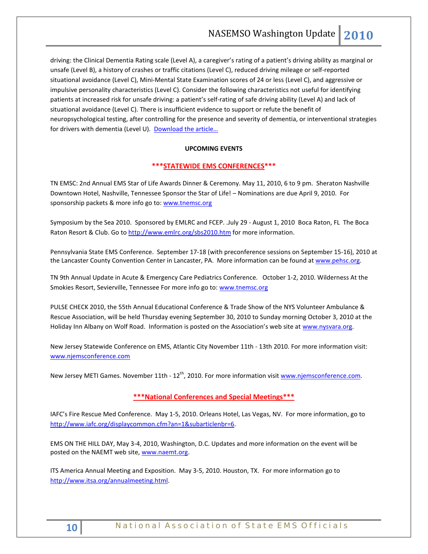driving: the Clinical Dementia Rating scale (Level A), a caregiver's rating of a patient's driving ability as marginal or unsafe (Level B), a history of crashes or traffic citations (Level C), reduced driving mileage or self-reported situational avoidance (Level C), Mini-Mental State Examination scores of 24 or less (Level C), and aggressive or impulsive personality characteristics (Level C). Consider the following characteristics not useful for identifying patients at increased risk for unsafe driving: a patient's self-rating of safe driving ability (Level A) and lack of situational avoidance (Level C). There is insufficient evidence to support or refute the benefit of neuropsychological testing, after controlling for the presence and severity of dementia, or interventional strategies for drivers with dementia (Level U). Download the article...

## **UPCOMING EVENTS**

## **\*\*\*STATEWIDE EMS CONFERENCES\*\*\***

TN EMSC: 2nd Annual EMS Star of Life Awards Dinner & Ceremony. May 11, 2010, 6 to 9 pm. Sheraton Nashville Downtown Hotel, Nashville, Tennessee Sponsor the Star of Life! – Nominations are due April 9, 2010. For sponsorship packets & more info go to[: www.tnemsc.org](http://www.tnemsc.org/)

Symposium by the Sea 2010. Sponsored by EMLRC and FCEP. .July 29 - August 1, 2010 Boca Raton, FL The Boca Raton Resort & Club. Go to<http://www.emlrc.org/sbs2010.htm> for more information.

Pennsylvania State EMS Conference. September 17-18 (with preconference sessions on September 15-16), 2010 at the Lancaster County Convention Center in Lancaster, PA. More information can be found a[t www.pehsc.org.](http://www.pehsc.org/)

TN 9th Annual Update in Acute & Emergency Care Pediatrics Conference. October 1-2, 2010. Wilderness At the Smokies Resort, Sevierville, Tennessee For more info go to: [www.tnemsc.org](http://www.tnemsc.org/)

PULSE CHECK 2010, the 55th Annual Educational Conference & Trade Show of the NYS Volunteer Ambulance & Rescue Association, will be held Thursday evening September 30, 2010 to Sunday morning October 3, 2010 at the Holiday Inn Albany on Wolf Road. Information is posted on the Association's web site at [www.nysvara.org.](http://www.nysvara.org/)

New Jersey Statewide Conference on EMS, Atlantic City November 11th - 13th 2010. For more information visit: [www.njemsconference.com](http://www.njemsconference.com/)

New Jersey METI Games. November 11th - 12<sup>th</sup>, 2010. For more information visit [www.njemsconference.com.](http://www.njemsconference.com/)

## **\*\*\*National Conferences and Special Meetings\*\*\***

IAFC's Fire Rescue Med Conference. May 1-5, 2010. Orleans Hotel, Las Vegas, NV. For more information, go to [http://www.iafc.org/displaycommon.cfm?an=1&subarticlenbr=6.](http://www.iafc.org/displaycommon.cfm?an=1&subarticlenbr=6) 

EMS ON THE HILL DAY, May 3-4, 2010, Washington, D.C. Updates and more information on the event will be posted on the NAEMT web site[, www.naemt.org.](http://www.naemt.org/)

ITS America Annual Meeting and Exposition. May 3-5, 2010. Houston, TX. For more information go to [http://www.itsa.org/annualmeeting.html.](http://www.itsa.org/annualmeeting.html)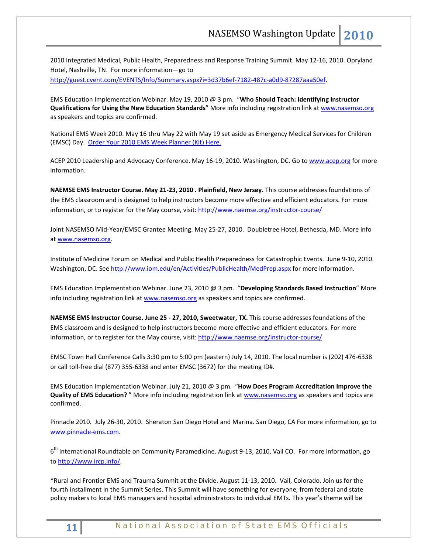2010 Integrated Medical, Public Health, Preparedness and Response Training Summit. May 12-16, 2010. Opryland Hotel, Nashville, TN. For more information—go to [http://guest.cvent.com/EVENTS/Info/Summary.aspx?i=3d37b6ef-7182-487c-a0d9-87287aaa50ef.](http://guest.cvent.com/EVENTS/Info/Summary.aspx?i=3d37b6ef-7182-487c-a0d9-87287aaa50ef)

EMS Education Implementation Webinar. May 19, 2010 @ 3 pm. "**Who Should Teach: Identifying Instructor Qualifications for Using the New Education Standards**" More info including registration link at [www.nasemso.org](http://www.nasemso.org/) as speakers and topics are confirmed.

National EMS Week 2010. May 16 thru May 22 with May 19 set aside as Emergency Medical Services for Children (EMSC) Day. [Order Your 2010 EMS Week Planner \(Kit\) Here.](http://www.acep.org/WorkArea/linkit.aspx?LinkIdentifier=ekfrm&ItemID=43322)

ACEP 2010 Leadership and Advocacy Conference. May 16-19, 2010. Washington, DC. Go t[o www.acep.org](http://www.acep.org/) for more information.

**NAEMSE EMS Instructor Course. May 21-23, 2010 . Plainfield, New Jersey.** This course addresses foundations of the EMS classroom and is designed to help instructors become more effective and efficient educators. For more information, or to register for the May course, visit[: http://www.naemse.org/instructor-course/](http://www.naemse.org/instructor-course/)

Joint NASEMSO Mid-Year/EMSC Grantee Meeting. May 25-27, 2010. Doubletree Hotel, Bethesda, MD. More info a[t www.nasemso.org.](http://www.nasemso.org/) 

Institute of Medicine Forum on Medical and Public Health Preparedness for Catastrophic Events. June 9-10, 2010. Washington, DC. See<http://www.iom.edu/en/Activities/PublicHealth/MedPrep.aspx> for more information.

EMS Education Implementation Webinar. June 23, 2010 @ 3 pm. "**Developing Standards Based Instruction**" More info including registration link a[t www.nasemso.org](http://www.nasemso.org/) as speakers and topics are confirmed.

**NAEMSE EMS Instructor Course. June 25 - 27, 2010, Sweetwater, TX.** This course addresses foundations of the EMS classroom and is designed to help instructors become more effective and efficient educators. For more information, or to register for the May course, visit[: http://www.naemse.org/instructor-course/](http://www.naemse.org/instructor-course/)

EMSC Town Hall Conference Calls 3:30 pm to 5:00 pm (eastern) July 14, 2010. The local number is (202) 476-6338 or call toll-free dial (877) 355-6338 and enter EMSC (3672) for the meeting ID#.

EMS Education Implementation Webinar. July 21, 2010 @ 3 pm. "**How Does Program Accreditation Improve the Quality of EMS Education?** " More info including registration link at [www.nasemso.org](http://www.nasemso.org/) as speakers and topics are confirmed.

Pinnacle 2010. July 26-30, 2010. Sheraton San Diego Hotel and Marina. San Diego, CA For more information, go to [www.pinnacle-ems.com.](http://www.pinnacle-ems.com/) 

6<sup>th</sup> International Roundtable on Community Paramedicine. August 9-13, 2010, Vail CO. For more information, go to [http://www.ircp.info/.](http://www.ircp.info/)

\*Rural and Frontier EMS and Trauma Summit at the Divide. August 11-13, 2010. Vail, Colorado. Join us for the fourth installment in the Summit Series. This Summit will have something for everyone, from federal and state policy makers to local EMS managers and hospital administrators to individual EMTs. This year's theme will be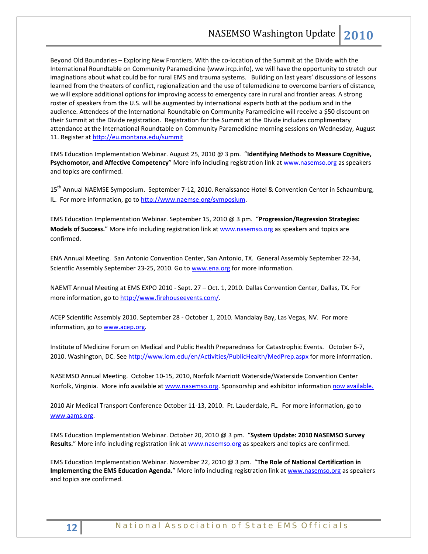Beyond Old Boundaries – Exploring New Frontiers. With the co-location of the Summit at the Divide with the International Roundtable on Community Paramedicine (www.ircp.info), we will have the opportunity to stretch our imaginations about what could be for rural EMS and trauma systems. Building on last years' discussions of lessons learned from the theaters of conflict, regionalization and the use of telemedicine to overcome barriers of distance, we will explore additional options for improving access to emergency care in rural and frontier areas. A strong roster of speakers from the U.S. will be augmented by international experts both at the podium and in the audience. Attendees of the International Roundtable on Community Paramedicine will receive a \$50 discount on their Summit at the Divide registration. Registration for the Summit at the Divide includes complimentary attendance at the International Roundtable on Community Paramedicine morning sessions on Wednesday, August 11. Register a[t http://eu.montana.edu/summit](http://eu.montana.edu/summit)

EMS Education Implementation Webinar. August 25, 2010 @ 3 pm. "**Identifying Methods to Measure Cognitive, Psychomotor, and Affective Competency**" More info including registration link at [www.nasemso.org](http://www.nasemso.org/) as speakers and topics are confirmed.

15<sup>th</sup> Annual NAEMSE Symposium. September 7-12, 2010. Renaissance Hotel & Convention Center in Schaumburg, IL. For more information, go to http://www.naemse.org/symposium.

EMS Education Implementation Webinar. September 15, 2010 @ 3 pm. "**Progression/Regression Strategies: Models of Success.**" More info including registration link at [www.nasemso.org](http://www.nasemso.org/) as speakers and topics are confirmed.

ENA Annual Meeting. San Antonio Convention Center, San Antonio, TX. General Assembly September 22-34, Scientfic Assembly September 23-25, 2010. Go to [www.ena.org](http://www.ena.org/) for more information.

NAEMT Annual Meeting at EMS EXPO 2010 - Sept. 27 – Oct. 1, 2010. Dallas Convention Center, Dallas, TX. For more information, go to [http://www.firehouseevents.com/.](http://www.firehouseevents.com/)

ACEP Scientific Assembly 2010. September 28 - October 1, 2010. Mandalay Bay, Las Vegas, NV. For more information, go to www.acep.org.

Institute of Medicine Forum on Medical and Public Health Preparedness for Catastrophic Events. October 6-7, 2010. Washington, DC. See<http://www.iom.edu/en/Activities/PublicHealth/MedPrep.aspx> for more information.

NASEMSO Annual Meeting. October 10-15, 2010, Norfolk Marriott Waterside/Waterside Convention Center Norfolk, Virginia. More info available at [www.nasemso.org.](http://www.nasemso.org/) Sponsorship and exhibitor information [now available.](http://www.nasemso.org/Meetings/Annual/NASEMSO2010Sponsors-Exhibitors.asp)

2010 Air Medical Transport Conference October 11-13, 2010. Ft. Lauderdale, FL. For more information, go to [www.aams.org.](http://www.aams.org/) 

EMS Education Implementation Webinar. October 20, 2010 @ 3 pm. "**System Update: 2010 NASEMSO Survey**  Results." More info including registration link at [www.nasemso.org](http://www.nasemso.org/) as speakers and topics are confirmed.

EMS Education Implementation Webinar. November 22, 2010 @ 3 pm. "**The Role of National Certification in Implementing the EMS Education Agenda.**" More info including registration link at [www.nasemso.org](http://www.nasemso.org/) as speakers and topics are confirmed.